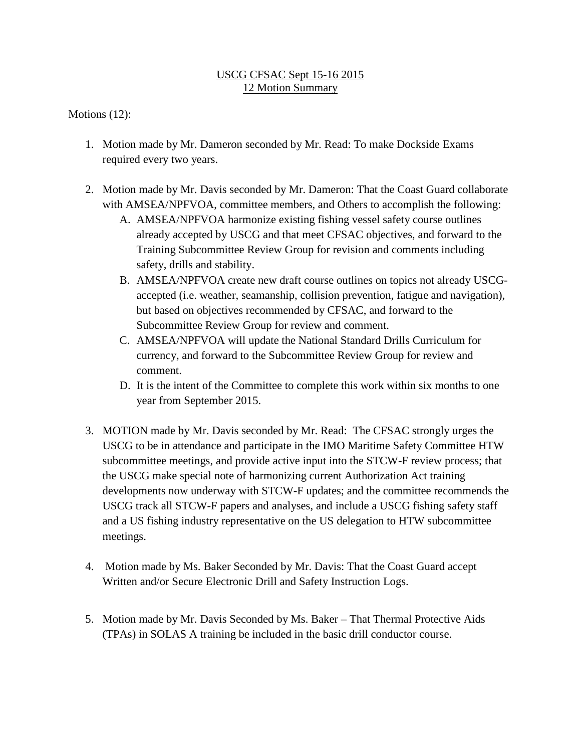## USCG CFSAC Sept 15-16 2015 12 Motion Summary

Motions (12):

- 1. Motion made by Mr. Dameron seconded by Mr. Read: To make Dockside Exams required every two years.
- 2. Motion made by Mr. Davis seconded by Mr. Dameron: That the Coast Guard collaborate with AMSEA/NPFVOA, committee members, and Others to accomplish the following:
	- A. AMSEA/NPFVOA harmonize existing fishing vessel safety course outlines already accepted by USCG and that meet CFSAC objectives, and forward to the Training Subcommittee Review Group for revision and comments including safety, drills and stability.
	- B. AMSEA/NPFVOA create new draft course outlines on topics not already USCGaccepted (i.e. weather, seamanship, collision prevention, fatigue and navigation), but based on objectives recommended by CFSAC, and forward to the Subcommittee Review Group for review and comment.
	- C. AMSEA/NPFVOA will update the National Standard Drills Curriculum for currency, and forward to the Subcommittee Review Group for review and comment.
	- D. It is the intent of the Committee to complete this work within six months to one year from September 2015.
- 3. MOTION made by Mr. Davis seconded by Mr. Read: The CFSAC strongly urges the USCG to be in attendance and participate in the IMO Maritime Safety Committee HTW subcommittee meetings, and provide active input into the STCW-F review process; that the USCG make special note of harmonizing current Authorization Act training developments now underway with STCW-F updates; and the committee recommends the USCG track all STCW-F papers and analyses, and include a USCG fishing safety staff and a US fishing industry representative on the US delegation to HTW subcommittee meetings.
- 4. Motion made by Ms. Baker Seconded by Mr. Davis: That the Coast Guard accept Written and/or Secure Electronic Drill and Safety Instruction Logs.
- 5. Motion made by Mr. Davis Seconded by Ms. Baker That Thermal Protective Aids (TPAs) in SOLAS A training be included in the basic drill conductor course.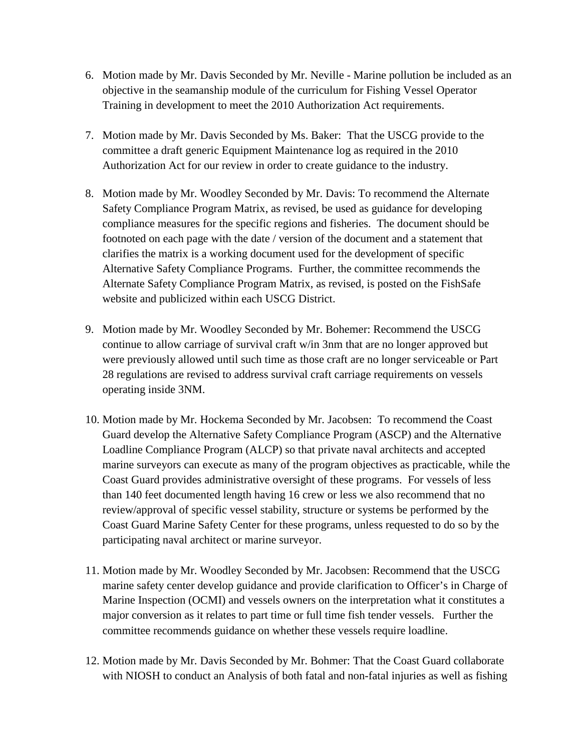- 6. Motion made by Mr. Davis Seconded by Mr. Neville Marine pollution be included as an objective in the seamanship module of the curriculum for Fishing Vessel Operator Training in development to meet the 2010 Authorization Act requirements.
- 7. Motion made by Mr. Davis Seconded by Ms. Baker: That the USCG provide to the committee a draft generic Equipment Maintenance log as required in the 2010 Authorization Act for our review in order to create guidance to the industry.
- 8. Motion made by Mr. Woodley Seconded by Mr. Davis: To recommend the Alternate Safety Compliance Program Matrix, as revised, be used as guidance for developing compliance measures for the specific regions and fisheries. The document should be footnoted on each page with the date / version of the document and a statement that clarifies the matrix is a working document used for the development of specific Alternative Safety Compliance Programs. Further, the committee recommends the Alternate Safety Compliance Program Matrix, as revised, is posted on the FishSafe website and publicized within each USCG District.
- 9. Motion made by Mr. Woodley Seconded by Mr. Bohemer: Recommend the USCG continue to allow carriage of survival craft w/in 3nm that are no longer approved but were previously allowed until such time as those craft are no longer serviceable or Part 28 regulations are revised to address survival craft carriage requirements on vessels operating inside 3NM.
- 10. Motion made by Mr. Hockema Seconded by Mr. Jacobsen: To recommend the Coast Guard develop the Alternative Safety Compliance Program (ASCP) and the Alternative Loadline Compliance Program (ALCP) so that private naval architects and accepted marine surveyors can execute as many of the program objectives as practicable, while the Coast Guard provides administrative oversight of these programs. For vessels of less than 140 feet documented length having 16 crew or less we also recommend that no review/approval of specific vessel stability, structure or systems be performed by the Coast Guard Marine Safety Center for these programs, unless requested to do so by the participating naval architect or marine surveyor.
- 11. Motion made by Mr. Woodley Seconded by Mr. Jacobsen: Recommend that the USCG marine safety center develop guidance and provide clarification to Officer's in Charge of Marine Inspection (OCMI) and vessels owners on the interpretation what it constitutes a major conversion as it relates to part time or full time fish tender vessels. Further the committee recommends guidance on whether these vessels require loadline.
- 12. Motion made by Mr. Davis Seconded by Mr. Bohmer: That the Coast Guard collaborate with NIOSH to conduct an Analysis of both fatal and non-fatal injuries as well as fishing